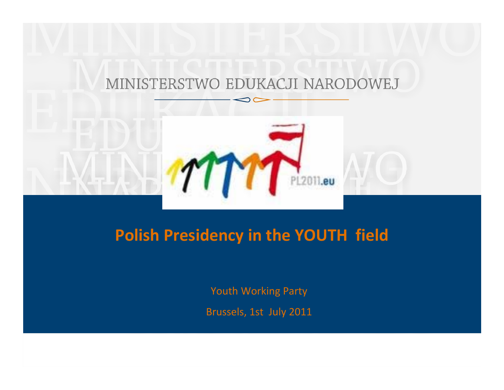#### MINISTERSTWO EDUKACJI NARODOWEJ



## **Polish Presidency in the YOUTH field**

Youth Working Party

Brussels, 1st July 2011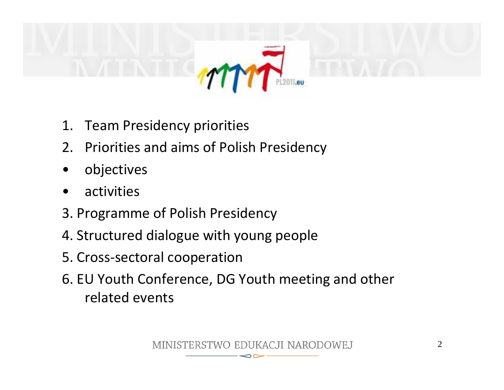

- 1. Team Presidency priorities
- 2. Priorities and aims of Polish Presidency
- •objectives
- •activities
- 3. Programme of Polish Presidency
- 4. Structured dialogue with young people
- 5. Cross‐sectoral cooperation
- 6. EU Youth Conference, DG Youth meeting and other related events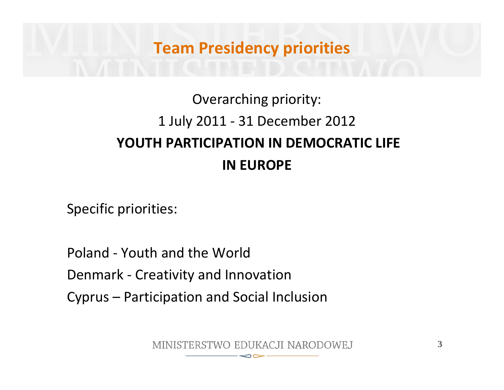## **Team Presidency priorities**

## Overarching priority: 1 July 2011 ‐ 31 December 2012 **YOUTH PARTICIPATION IN DEMOCRATIC LIFE IN EUROPE**

Specific priorities:

Poland ‐ Youth and the World Denmark ‐ Creativity and Innovation Cyprus – Participation and Social Inclusion

MINISTERSTWO EDUKACJI NARODOWEJ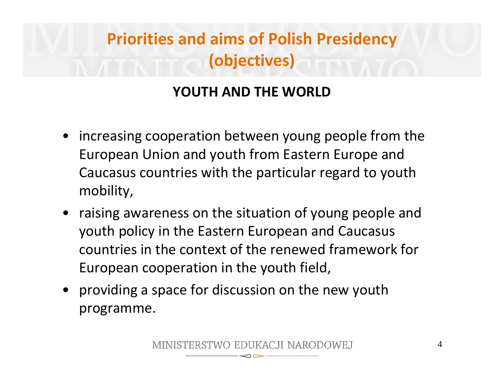# **Priorities and aims of Polish Presidency (objectives)**

### **YOUTH AND THE WORLD**

- • increasing cooperation between young people from the European Union and youth from Eastern Europe and Caucasus countries with the particular regard to youth mobility,
- raising awareness on the situation of young people and youth policy in the Eastern European and Caucasus countries in the context of the renewed framework for European cooperation in the youth field,
- providing <sup>a</sup> space for discussion on the new youth programme.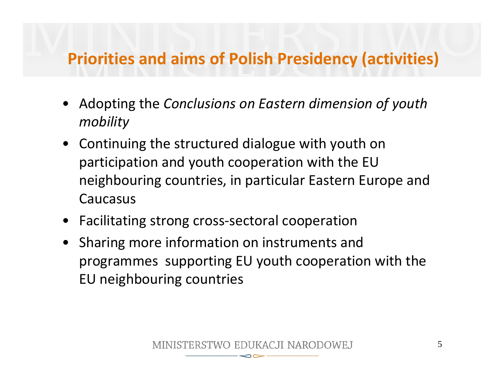## **Priorities and aims of Polish Presidency (activities)**

- Adopting the *Conclusions on Eastern dimension of youth mobility*
- Continuing the structured dialogue with youth on participation and youth cooperation with the EU neighbouring countries, in particular Eastern Europe and Caucasus
- Facilitating strong cross‐sectoral cooperation
- Sharing more information on instruments and programmes supporting EU youth cooperation with the EU neighbouring countries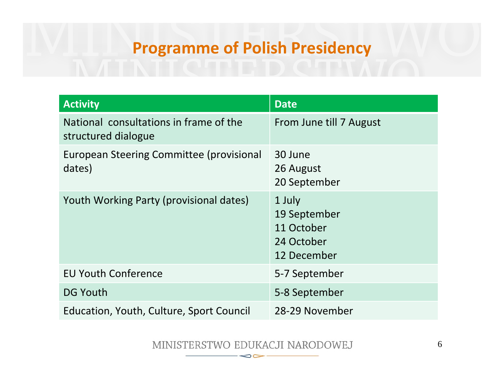## **Programme of Polish Presidency**

| <b>Activity</b>                                               | <b>Date</b>                                                       |
|---------------------------------------------------------------|-------------------------------------------------------------------|
| National consultations in frame of the<br>structured dialogue | From June till 7 August                                           |
| European Steering Committee (provisional<br>dates)            | 30 June<br>26 August<br>20 September                              |
| Youth Working Party (provisional dates)                       | 1 July<br>19 September<br>11 October<br>24 October<br>12 December |
| <b>EU Youth Conference</b>                                    | 5-7 September                                                     |
| <b>DG Youth</b>                                               | 5-8 September                                                     |
| Education, Youth, Culture, Sport Council                      | 28-29 November                                                    |

MINISTERSTWO EDUKACJI NARODOWEJ  $\infty$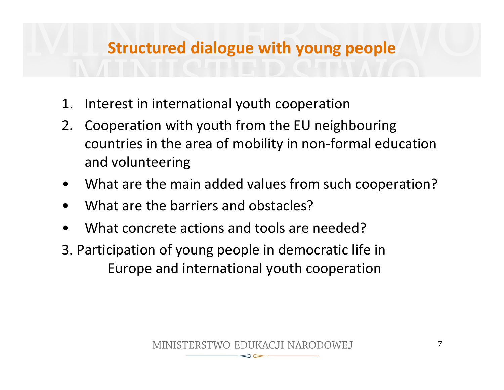## **Structured dialogue with young people**

- 1. Interest in international youth cooperation
- 2. Cooperation with youth from the EU neighbouring countries in the area of mobility in non‐formal education and volunteering
- •What are the main added values from such cooperation?
- •What are the barriers and obstacles?
- •What concrete actions and tools are needed?
- 3. Participation of young people in democratic life in Europe and international youth cooperation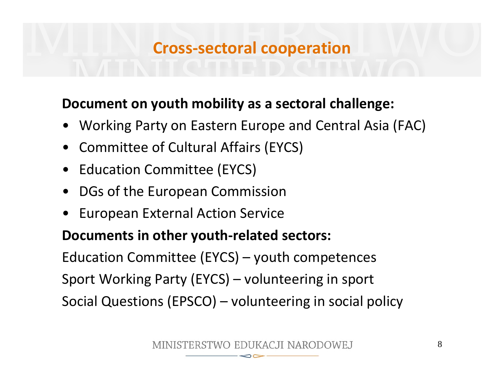## **Cross‐sectoral cooperation**

#### **Document on youth mobility as <sup>a</sup> sectoral challenge:**

- •Working Party on Eastern Europe and Central Asia (FAC)
- Committee of Cultural Affairs (EYCS)
- Education Committee (EYCS)
- •DGs of the European Commission
- •European External Action Service

### **Documents in other youth‐related sectors:**

Education Committee (EYCS) – youth competences Sport Working Party (EYCS) – volunteering in sport Social Questions (EPSCO) – volunteering in social policy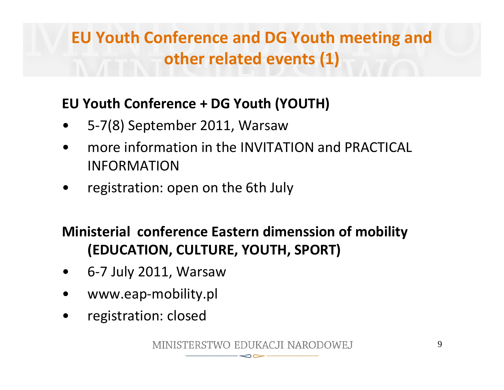# **EU Youth Conference and DG Youth meeting and other related events (1)**

### **EU Youth Conference <sup>+</sup> DG Youth (YOUTH)**

- •5‐7(8) September 2011, Warsaw
- • more information in the INVITATION and PRACTICAL INFORMATION
- •registration: open on the 6th July

## **Ministerial conference Eastern dimenssion of mobility (EDUCATION, CULTURE, YOUTH, SPORT)**

- •6‐7 July 2011, Warsaw
- •www.eap‐mobility.pl
- $\bullet$ registration: closed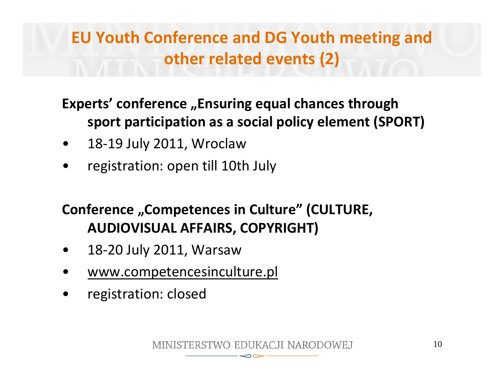# **EU Youth Conference and DG Youth meeting and other related events (2)**

### **Experts' conference "Ensuring equal chances through sport participation as <sup>a</sup> social policy element (SPORT)**

- •18‐19 July 2011, Wroclaw
- •registration: open till 10th July

## **Conference "Competences in Culture" (CULTURE, AUDIOVISUAL AFFAIRS, COPYRIGHT)**

- •18‐20 July 2011, Warsaw
- •www.competencesinculture.pl
- •registration: closed